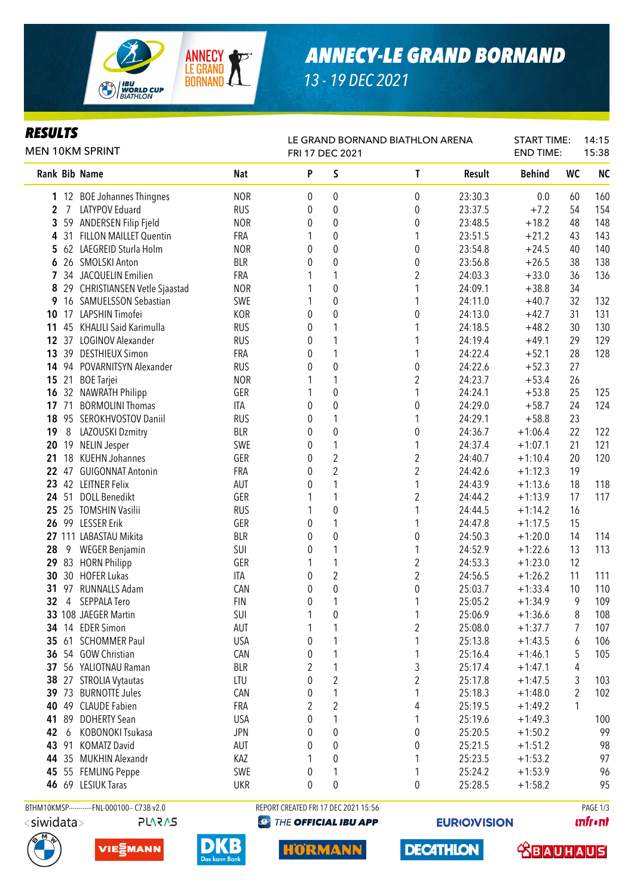

## *ANNECY-LE GRAND BORNAND*

*13 - 19 DEC 2021*

#### *RESULTS*

| <i>KESULIS</i><br><b>MEN 10KM SPRINT</b> |                |                                |            | LE GRAND BORNAND BIATHLON ARENA<br>FRI 17 DEC 2021 |                         |                         |         |               | <b>START TIME:</b><br><b>END TIME:</b> | 14:15<br>15:38 |  |
|------------------------------------------|----------------|--------------------------------|------------|----------------------------------------------------|-------------------------|-------------------------|---------|---------------|----------------------------------------|----------------|--|
|                                          |                | Rank Bib Name                  | Nat        | P                                                  | S                       | T                       | Result  | <b>Behind</b> | WC                                     | <b>NC</b>      |  |
|                                          |                | 1 12 BOE Johannes Thingnes     | <b>NOR</b> | 0                                                  | 0                       | 0                       | 23:30.3 | 0.0           | 60                                     | 160            |  |
| $\mathbf{2}$                             | $\overline{7}$ | <b>LATYPOV Eduard</b>          | <b>RUS</b> | 0                                                  | 0                       | 0                       | 23:37.5 | $+7.2$        | 54                                     | 154            |  |
| 3                                        |                | 59 ANDERSEN Filip Fjeld        | <b>NOR</b> | 0                                                  | 0                       | $\boldsymbol{0}$        | 23:48.5 | $+18.2$       | 48                                     | 148            |  |
| 4                                        |                | 31 FILLON MAILLET Quentin      | FRA        | 1                                                  | 0                       | 1                       | 23:51.5 | $+21.2$       | 43                                     | 143            |  |
| 5                                        |                | 62 LAEGREID Sturla Holm        | <b>NOR</b> | 0                                                  | $\overline{0}$          | 0                       | 23:54.8 | $+24.5$       | 40                                     | 140            |  |
| 6                                        |                | 26 SMOLSKI Anton               | <b>BLR</b> | 0                                                  | 0                       | 0                       | 23:56.8 | $+26.5$       | 38                                     | 138            |  |
|                                          |                | 7 34 JACQUELIN Emilien         | FRA        |                                                    | 1                       | $\overline{2}$          | 24:03.3 | $+33.0$       | 36                                     | 136            |  |
| 8                                        |                | 29 CHRISTIANSEN Vetle Sjaastad | <b>NOR</b> |                                                    | 0                       | 1                       | 24:09.1 | $+38.8$       | 34                                     |                |  |
| 9                                        |                | 16 SAMUELSSON Sebastian        | SWE        |                                                    | 0                       | 1                       | 24:11.0 | $+40.7$       | 32                                     | 132            |  |
| 10                                       |                | 17 LAPSHIN Timofei             | <b>KOR</b> | 0                                                  | 0                       | 0                       | 24:13.0 | $+42.7$       | 31                                     | 131            |  |
| 11                                       |                | 45 KHALILI Said Karimulla      | <b>RUS</b> | 0                                                  | 1                       | 1                       | 24:18.5 | $+48.2$       | 30                                     | 130            |  |
| 12                                       |                | 37 LOGINOV Alexander           | <b>RUS</b> | 0                                                  | 1                       | 1                       | 24:19.4 | $+49.1$       | 29                                     | 129            |  |
| 13                                       |                | 39 DESTHIEUX Simon             | FRA        | 0                                                  | 1                       | 1                       | 24:22.4 | $+52.1$       | 28                                     | 128            |  |
| 14                                       |                | 94 POVARNITSYN Alexander       | <b>RUS</b> | 0                                                  | 0                       | $\pmb{0}$               | 24:22.6 | $+52.3$       | 27                                     |                |  |
| 15                                       | 21             | <b>BOE</b> Tarjei              | <b>NOR</b> |                                                    | 1                       | $\overline{2}$          | 24:23.7 | $+53.4$       | 26                                     |                |  |
| 16                                       |                | 32 NAWRATH Philipp             | GER        |                                                    | 0                       | 1                       | 24:24.1 | $+53.8$       | 25                                     | 125            |  |
| 17                                       | 71             | <b>BORMOLINI Thomas</b>        | ITA        | 0                                                  | $\pmb{0}$               | 0                       | 24:29.0 | $+58.7$       | 24                                     | 124            |  |
| 18                                       |                | 95 SEROKHVOSTOV Daniil         | <b>RUS</b> | 0                                                  | 1                       | 1                       | 24:29.1 | $+58.8$       | 23                                     |                |  |
| 19                                       | 8              | LAZOUSKI Dzmitry               | <b>BLR</b> | 0                                                  | $\pmb{0}$               | $\boldsymbol{0}$        | 24:36.7 | $+1:06.4$     | 22                                     | 122            |  |
| 20                                       |                | 19 NELIN Jesper                | SWE        | 0                                                  | 1                       | 1                       | 24:37.4 | $+1:07.1$     | 21                                     | 121            |  |
| 21                                       |                | 18 KUEHN Johannes              | GER        | 0                                                  | $\overline{2}$          | $\overline{2}$          | 24:40.7 | $+1:10.4$     | 20                                     | 120            |  |
| 22                                       |                | 47 GUIGONNAT Antonin           | FRA        | 0                                                  | $\overline{2}$          | $\overline{2}$          | 24:42.6 | $+1:12.3$     | 19                                     |                |  |
| 23                                       |                | 42 LEITNER Felix               | AUT        | 0                                                  | 1                       | 1                       | 24:43.9 | $+1:13.6$     | 18                                     | 118            |  |
| 24                                       | 51             | <b>DOLL Benedikt</b>           | GER        |                                                    | 1                       | $\overline{2}$          | 24:44.2 | $+1:13.9$     | 17                                     | 117            |  |
| 25                                       |                | 25 TOMSHIN Vasilii             | <b>RUS</b> |                                                    | $\pmb{0}$               | 1                       | 24:44.5 | $+1:14.2$     | 16                                     |                |  |
| 26                                       |                | 99 LESSER Erik                 | GER        | 0                                                  | 1                       | 1                       | 24:47.8 | $+1:17.5$     | 15                                     |                |  |
|                                          |                | 27 111 LABASTAU Mikita         | <b>BLR</b> | 0                                                  | $\pmb{0}$               | $\pmb{0}$               | 24:50.3 | $+1:20.0$     | 14                                     | 114            |  |
| 28                                       | 9              | <b>WEGER Benjamin</b>          | SUI        | 0                                                  | 1                       | 1                       | 24:52.9 | $+1:22.6$     | 13                                     | 113            |  |
| 29                                       |                | 83 HORN Philipp                | GER        |                                                    | 1                       | 2                       | 24:53.3 | $+1:23.0$     | 12                                     |                |  |
| 30                                       |                | 30 HOFER Lukas                 | ITA        | 0                                                  | $\overline{\mathbf{c}}$ | $\overline{2}$          | 24:56.5 | $+1:26.2$     | 11                                     | 111            |  |
| 31                                       | 97             | <b>RUNNALLS Adam</b>           | CAN        | 0                                                  | 0                       | $\pmb{0}$               | 25:03.7 | $+1:33.4$     | 10                                     | 110            |  |
| 32                                       | 4              | <b>SEPPALA Tero</b>            | <b>FIN</b> | 0                                                  | 1                       | 1                       | 25:05.2 | $+1:34.9$     | 9                                      | 109            |  |
|                                          |                | 33 108 JAEGER Martin           | SUI        | 1                                                  | 0                       | 1                       | 25:06.9 | $+1:36.6$     | 8                                      | 108            |  |
|                                          |                | 34 14 EDER Simon               | AUT        |                                                    |                         | $\overline{\mathbf{c}}$ | 25:08.0 | $+1:37.7$     | $\overline{7}$                         | 107            |  |
| 35                                       |                | 61 SCHOMMER Paul               | <b>USA</b> | 0                                                  | 1                       | 1                       | 25:13.8 | $+1:43.5$     | 6                                      | 106            |  |
| 36                                       |                | 54 GOW Christian               | CAN        | 0                                                  | 1                       | 1                       | 25:16.4 | $+1:46.1$     | 5                                      | 105            |  |
| 37                                       |                | 56 YALIOTNAU Raman             | <b>BLR</b> | 2                                                  | 1                       | 3                       | 25:17.4 | $+1:47.1$     | 4                                      |                |  |
| 38                                       |                | 27 STROLIA Vytautas            | LTU        | 0                                                  | $\boldsymbol{2}$        | $\overline{c}$          | 25:17.8 | $+1:47.5$     | 3                                      | 103            |  |
| 39                                       | 73             | <b>BURNOTTE Jules</b>          | CAN        | 0                                                  | 1                       | 1                       | 25:18.3 | $+1:48.0$     | $\overline{2}$                         | 102            |  |
|                                          |                | 40 49 CLAUDE Fabien            | FRA        | 2                                                  | $\overline{c}$          | $\sqrt{4}$              | 25:19.5 | $+1:49.2$     | 1                                      |                |  |
| 41                                       | 89             | <b>DOHERTY Sean</b>            | <b>USA</b> | 0                                                  | 1                       | 1                       | 25:19.6 | $+1:49.3$     |                                        | 100            |  |
| 42                                       | 6              | KOBONOKI Tsukasa               | <b>JPN</b> | 0                                                  | 0                       | 0                       | 25:20.5 | $+1:50.2$     |                                        | 99             |  |
| 43                                       | 91             | <b>KOMATZ David</b>            | AUT        | 0                                                  | 0                       | 0                       | 25:21.5 | $+1:51.2$     |                                        | 98             |  |
| 44                                       |                | 35 MUKHIN Alexandr             | KAZ        | 1                                                  | 0                       | 1                       | 25:23.5 | $+1:53.2$     |                                        | 97             |  |
| 45                                       |                | 55 FEMLING Peppe               | SWE        | 0                                                  | 1                       | 1                       | 25:24.2 | $+1:53.9$     |                                        | 96             |  |
|                                          |                | 46 69 LESIUK Taras             | <b>UKR</b> | 0                                                  | 0                       | 0                       | 25:28.5 | $+1:58.2$     |                                        | 95             |  |



BTHM10KMSP------------FNL-000100-- C73B v2.0 REPORT CREATED FRI 17 DEC 2021 15:56 PAGE 1/3**@ THE OFFICIAL IBU APP** 

**unfront** 









**DECATHLON** 

**EURIO)VISION** 

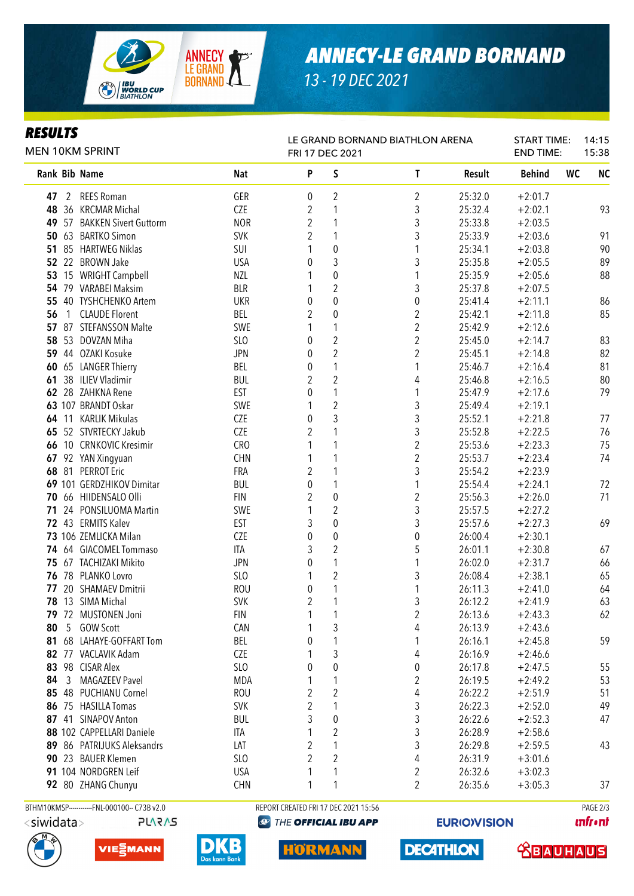

### *ANNECY-LE GRAND BORNAND*

*13 - 19 DEC 2021*

#### *RESULTS*

| rljvlij<br>MEN 10KM SPRINT |   |                                             |                          | LE GRAND BORNAND BIATHLON ARENA<br>FRI 17 DEC 2021 |                   |                              |                    |                        | <b>START TIME:</b><br><b>END TIME:</b> | 14:15<br>15:38 |  |
|----------------------------|---|---------------------------------------------|--------------------------|----------------------------------------------------|-------------------|------------------------------|--------------------|------------------------|----------------------------------------|----------------|--|
|                            |   | Rank Bib Name                               | <b>Nat</b>               | P                                                  | S                 | $\mathsf{T}$                 | Result             | <b>Behind</b>          | WC                                     | <b>NC</b>      |  |
| 47                         |   | 2 REES Roman                                | GER                      | 0                                                  | $\overline{2}$    | 2                            | 25:32.0            | $+2:01.7$              |                                        |                |  |
|                            |   | 48 36 KRCMAR Michal                         | CZE                      | 2                                                  | 1                 | 3                            | 25:32.4            | $+2:02.1$              |                                        | 93             |  |
|                            |   | 49 57 BAKKEN Sivert Guttorm                 | <b>NOR</b>               | 2                                                  | 1                 | 3                            | 25:33.8            | $+2:03.5$              |                                        |                |  |
|                            |   | 50 63 BARTKO Simon                          | <b>SVK</b>               | $\overline{2}$                                     | 1                 | 3                            | 25:33.9            | $+2:03.6$              |                                        | 91             |  |
|                            |   | 51 85 HARTWEG Niklas                        | SUI                      |                                                    | $\boldsymbol{0}$  | 1                            | 25:34.1            | $+2:03.8$              |                                        | 90             |  |
|                            |   | 52 22 BROWN Jake                            | <b>USA</b>               | 0                                                  | 3                 | 3                            | 25:35.8            | $+2:05.5$              |                                        | 89             |  |
|                            |   | 53 15 WRIGHT Campbell                       | <b>NZL</b>               |                                                    | $\boldsymbol{0}$  | 1                            | 25:35.9            | $+2:05.6$              |                                        | 88             |  |
|                            |   | 54 79 VARABEI Maksim                        | <b>BLR</b>               |                                                    | $\sqrt{2}$        | 3                            | 25:37.8            | $+2:07.5$              |                                        |                |  |
|                            |   | 55 40 TYSHCHENKO Artem                      | <b>UKR</b>               | 0                                                  | $\mathbf 0$       | $\boldsymbol{0}$             | 25:41.4            | $+2:11.1$              |                                        | 86             |  |
| 56                         | 1 | <b>CLAUDE Florent</b>                       | BEL                      | 2                                                  | $\boldsymbol{0}$  | $\overline{\mathbf{c}}$      | 25:42.1            | $+2:11.8$              |                                        | 85             |  |
| 57                         |   | 87 STEFANSSON Malte                         | SWE                      | 1                                                  | 1                 | $\overline{c}$               | 25:42.9            | $+2:12.6$              |                                        |                |  |
| 58                         |   | 53 DOVZAN Miha                              | SLO                      | 0                                                  | $\sqrt{2}$        | $\overline{c}$               | 25:45.0            | $+2:14.7$              |                                        | 83             |  |
|                            |   | 59 44 OZAKI Kosuke                          | <b>JPN</b>               | $\theta$                                           | $\overline{2}$    | $\overline{2}$               | 25:45.1            | $+2:14.8$              |                                        | 82             |  |
|                            |   | 60 65 LANGER Thierry                        | BEL                      | 0                                                  | 1                 | 1                            | 25:46.7            | $+2:16.4$              |                                        | 81             |  |
| 61                         |   | 38 ILIEV Vladimir                           | <b>BUL</b>               | 2                                                  | $\overline{2}$    | 4                            | 25:46.8            | $+2:16.5$              |                                        | 80             |  |
|                            |   | 62 28 ZAHKNA Rene                           | <b>EST</b>               | $\theta$                                           | 1                 | 1                            | 25:47.9            | $+2:17.6$              |                                        | 79             |  |
|                            |   | 63 107 BRANDT Oskar                         | SWE                      |                                                    | $\overline{2}$    | 3                            | 25:49.4            | $+2:19.1$              |                                        |                |  |
|                            |   | 64 11 KARLIK Mikulas                        | CZE                      | 0                                                  | 3                 | 3                            | 25:52.1            | $+2:21.8$              |                                        | 77             |  |
|                            |   | 65 52 STVRTECKY Jakub                       | CZE                      | 2                                                  |                   | 3                            | 25:52.8            | $+2:22.5$              |                                        | 76             |  |
|                            |   | 66 10 CRNKOVIC Kresimir                     | CRO                      |                                                    |                   | $\boldsymbol{2}$             | 25:53.6            | $+2:23.3$              |                                        | 75             |  |
|                            |   | 67 92 YAN Xingyuan                          | <b>CHN</b>               |                                                    |                   | $\boldsymbol{2}$             | 25:53.7            | $+2:23.4$              |                                        | 74             |  |
|                            |   | 68 81 PERROT Eric                           | FRA                      | $\overline{2}$                                     | 1                 | 3                            | 25:54.2            | $+2:23.9$              |                                        |                |  |
|                            |   | 69 101 GERDZHIKOV Dimitar                   | <b>BUL</b>               | $\boldsymbol{0}$                                   | 1                 | 1                            | 25:54.4            | $+2:24.1$              |                                        | 72             |  |
|                            |   | 70 66 HIIDENSALO Olli                       | <b>FIN</b>               | $\overline{2}$                                     | $\boldsymbol{0}$  | $\boldsymbol{2}$             | 25:56.3            | $+2:26.0$              |                                        | 71             |  |
|                            |   | 71 24 PONSILUOMA Martin                     | SWE                      | 1                                                  | $\sqrt{2}$        | 3                            | 25:57.5            | $+2:27.2$              |                                        |                |  |
|                            |   | 72 43 ERMITS Kalev                          | <b>EST</b>               | 3                                                  | $\boldsymbol{0}$  | 3                            | 25:57.6            | $+2:27.3$              |                                        | 69             |  |
|                            |   | 73 106 ZEMLICKA Milan                       | CZE                      | $\boldsymbol{0}$                                   | $\boldsymbol{0}$  | $\pmb{0}$                    | 26:00.4            | $+2:30.1$              |                                        |                |  |
|                            |   | 74 64 GIACOMEL Tommaso                      | ITA                      | 3                                                  | $\overline{2}$    | 5                            | 26:01.1            | $+2:30.8$              |                                        | 67             |  |
|                            |   | 75 67 TACHIZAKI Mikito                      | <b>JPN</b>               | 0                                                  | $\mathbf{1}$      | 1                            | 26:02.0            | $+2:31.7$              |                                        | 66             |  |
|                            |   | 76 78 PLANKO Lovro<br>77 20 SHAMAEV Dmitrii | SLO                      | 1                                                  | $\sqrt{2}$        | 3                            | 26:08.4            | $+2:38.1$              |                                        | 65             |  |
|                            |   | 78 13 SIMA Michal                           | <b>ROU</b><br><b>SVK</b> | 0<br>$\overline{2}$                                | 1<br>$\mathbf{1}$ | 1<br>3                       | 26:11.3            | $+2:41.0$              |                                        | 64             |  |
|                            |   | 79 72 MUSTONEN Joni                         | <b>FIN</b>               |                                                    |                   |                              | 26:12.2<br>26:13.6 | $+2:41.9$<br>$+2:43.3$ |                                        | 63<br>62       |  |
| 80                         | 5 | <b>GOW Scott</b>                            | CAN                      | 1                                                  | 3                 | $\overline{\mathbf{c}}$<br>4 | 26:13.9            | $+2:43.6$              |                                        |                |  |
| 81                         |   | 68 LAHAYE-GOFFART Tom                       | BEL                      | 0                                                  | 1                 | 1                            | 26:16.1            | $+2:45.8$              |                                        | 59             |  |
|                            |   | 82 77 VACLAVIK Adam                         | CZE                      |                                                    | 3                 | 4                            | 26:16.9            | $+2:46.6$              |                                        |                |  |
|                            |   | 83 98 CISAR Alex                            | SLO                      | $\theta$                                           | 0                 | $\boldsymbol{0}$             | 26:17.8            | $+2:47.5$              |                                        | 55             |  |
| 84                         | 3 | <b>MAGAZEEV Pavel</b>                       | <b>MDA</b>               | 1                                                  | 1                 | 2                            | 26:19.5            | $+2:49.2$              |                                        | 53             |  |
| 85                         |   | 48 PUCHIANU Cornel                          | <b>ROU</b>               | 2                                                  | $\overline{2}$    | 4                            | 26:22.2            | $+2:51.9$              |                                        | 51             |  |
|                            |   | 86 75 HASILLA Tomas                         | <b>SVK</b>               | $\overline{2}$                                     | 1                 | 3                            | 26:22.3            | $+2:52.0$              |                                        | 49             |  |
|                            |   | 87 41 SINAPOV Anton                         | <b>BUL</b>               | 3                                                  | 0                 | 3                            | 26:22.6            | $+2:52.3$              |                                        | 47             |  |
|                            |   | 88 102 CAPPELLARI Daniele                   | ITA                      | 1                                                  | 2                 | 3                            | 26:28.9            | $+2:58.6$              |                                        |                |  |
|                            |   | 89 86 PATRIJUKS Aleksandrs                  | LAT                      | $\overline{2}$                                     | 1                 | 3                            | 26:29.8            | $+2:59.5$              |                                        | 43             |  |
|                            |   | 90 23 BAUER Klemen                          | SL <sub>0</sub>          | $\overline{2}$                                     | $\overline{2}$    | 4                            | 26:31.9            | $+3:01.6$              |                                        |                |  |
|                            |   | 91 104 NORDGREN Leif                        | <b>USA</b>               | 1                                                  | 1                 | 2                            | 26:32.6            | $+3:02.3$              |                                        |                |  |
|                            |   | 92 80 ZHANG Chunyu                          | <b>CHN</b>               | 1                                                  | 1                 | $\overline{2}$               | 26:35.6            | $+3:05.3$              |                                        | 37             |  |
|                            |   |                                             |                          |                                                    |                   |                              |                    |                        |                                        |                |  |

**PLARAS** 







BTHM10KMSP-----------FNL-000100-- C73B v2.0 REPORT CREATED FRI 17 DEC 2021 15:56 REPORT CREATED FRI 17 DEC 2021 15:56 **@ THE OFFICIAL IBU APP** 

**HORMANN** 

**EURIO)VISION** 

**DECATHLON** 

**unfront**